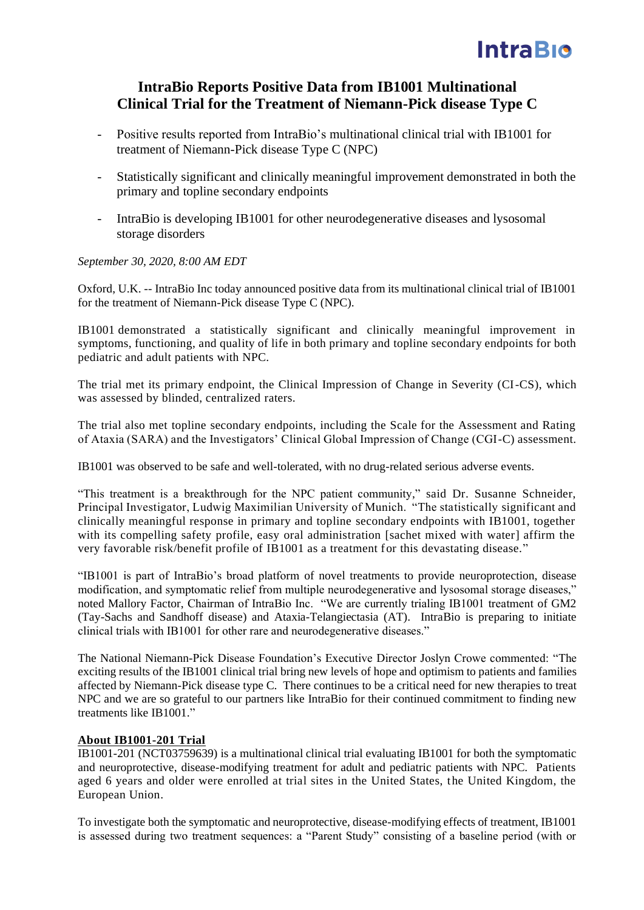# **IntraBio**

# **IntraBio Reports Positive Data from IB1001 Multinational Clinical Trial for the Treatment of Niemann-Pick disease Type C**

- Positive results reported from IntraBio's multinational clinical trial with IB1001 for treatment of Niemann-Pick disease Type C (NPC)
- Statistically significant and clinically meaningful improvement demonstrated in both the primary and topline secondary endpoints
- IntraBio is developing IB1001 for other neurodegenerative diseases and lysosomal storage disorders

## *September 30, 2020, 8:00 AM EDT*

Oxford, U.K. -- IntraBio Inc today announced positive data from its multinational clinical trial of IB1001 for the treatment of Niemann-Pick disease Type C (NPC).

IB1001 demonstrated a statistically significant and clinically meaningful improvement in symptoms, functioning, and quality of life in both primary and topline secondary endpoints for both pediatric and adult patients with NPC.

The trial met its primary endpoint, the Clinical Impression of Change in Severity (CI-CS), which was assessed by blinded, centralized raters.

The trial also met topline secondary endpoints, including the Scale for the Assessment and Rating of Ataxia (SARA) and the Investigators' Clinical Global Impression of Change (CGI-C) assessment.

IB1001 was observed to be safe and well-tolerated, with no drug-related serious adverse events.

"This treatment is a breakthrough for the NPC patient community," said Dr. Susanne Schneider, Principal Investigator, Ludwig Maximilian University of Munich. "The statistically significant and clinically meaningful response in primary and topline secondary endpoints with IB1001, together with its compelling safety profile, easy oral administration [sachet mixed with water] affirm the very favorable risk/benefit profile of IB1001 as a treatment for this devastating disease."

"IB1001 is part of IntraBio's broad platform of novel treatments to provide neuroprotection, disease modification, and symptomatic relief from multiple neurodegenerative and lysosomal storage diseases," noted Mallory Factor, Chairman of IntraBio Inc. "We are currently trialing IB1001 treatment of GM2 (Tay-Sachs and Sandhoff disease) and Ataxia-Telangiectasia (AT). IntraBio is preparing to initiate clinical trials with IB1001 for other rare and neurodegenerative diseases."

The National Niemann-Pick Disease Foundation's Executive Director Joslyn Crowe commented: "The exciting results of the IB1001 clinical trial bring new levels of hope and optimism to patients and families affected by Niemann-Pick disease type C. There continues to be a critical need for new therapies to treat NPC and we are so grateful to our partners like IntraBio for their continued commitment to finding new treatments like IB1001."

## **About IB1001-201 Trial**

IB1001-201 (NCT03759639) is a multinational clinical trial evaluating IB1001 for both the symptomatic and neuroprotective, disease-modifying treatment for adult and pediatric patients with NPC. Patients aged 6 years and older were enrolled at trial sites in the United States, the United Kingdom, the European Union.

To investigate both the symptomatic and neuroprotective, disease-modifying effects of treatment, IB1001 is assessed during two treatment sequences: a "Parent Study" consisting of a baseline period (with or